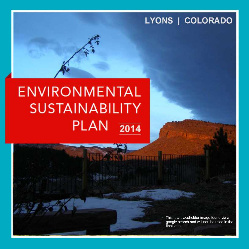## LYONS | COLORADO

# **ENVIRONMENTAL SUSTAINABILITY PLAN**  $2014$

\* This is a placeholder image found via a google search and will not be used in the final version.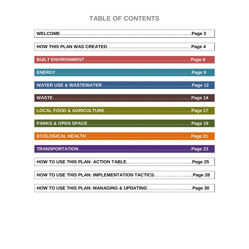### **TABLE OF CONTENTS**

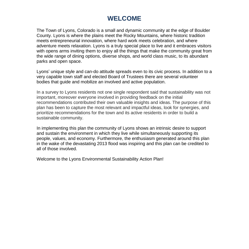### **WELCOME**

The Town of Lyons, Colorado is a small and dynamic community at the edge of Boulder County. Lyons is where the plains meet the Rocky Mountains, where historic tradition meets entrepreneurial innovation, where hard work meets celebration, and where adventure meets relaxation. Lyons is a truly special place to live and it embraces visitors with opens arms inviting them to enjoy all the things that make the community great from the wide range of dining options, diverse shops, and world class music, to its abundant parks and open space.

Lyons' unique style and can-do attitude spreads even to its civic process. In addition to a very capable town staff and elected Board of Trustees there are several volunteer bodies that guide and mobilize an involved and active population.

In a survey to Lyons residents not one single respondent said that sustainability was not important, moreover everyone involved in providing feedback on the initial recommendations contributed their own valuable insights and ideas. The purpose of this plan has been to capture the most relevant and impactful ideas, look for synergies, and prioritize recommendations for the town and its active residents in order to build a sustainable community.

In implementing this plan the community of Lyons shows an intrinsic desire to support and sustain the environment in which they live while simultaneously supporting its people, values, and economy. Furthermore, the enthusiasm generated around this plan in the wake of the devastating 2013 flood was inspiring and this plan can be credited to all of those involved.

Welcome to the Lyons Environmental Sustainability Action Plan!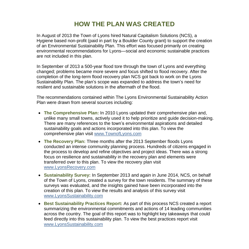### **HOW THE PLAN WAS CREATED**

In August of 2013 the Town of Lyons hired Natural Capitalism Solutions (NCS), a Hygiene based non-profit (paid in part by a Boulder County grant) to support the creation of an Environmental Sustainability Plan. This effort was focused primarily on creating environmental recommendations for Lyons—social and economic sustainable practices are not included in this plan.

In September of 2013 a 500-year flood tore through the town of Lyons and everything changed; problems became more severe and focus shifted to flood recovery. After the completion of the long-term flood recovery plan NCS got back to work on the Lyons Sustainability Plan. The plan's scope was expanded to address the town's need for resilient and sustainable solutions in the aftermath of the flood.

The recommendations contained within The Lyons Environmental Sustainability Action Plan were drawn from several sources including:

- **The Comprehensive Plan:** In 2010 Lyons updated their comprehensive plan and, unlike many small towns, actively used it to help prioritize and guide decision-making. There are many references to the town's environmental aspirations and detailed sustainability goals and actions incorporated into this plan. To view the comprehensive plan visit [www.TownofLyons.com](http://www.townoflyons.com/)
- **The Recovery Plan:** Three months after the 2013 September floods Lyons conducted an intense community planning process. Hundreds of citizens engaged in the process to develop and refine objectives and project ideas. There was a strong focus on resilience and sustainability in the recovery plan and elements were transferred over to this plan. To view the recovery plan visit [www.LyonsRecovery.com](http://www.lyonsrecovery.com/)
- **Sustainability Survey:** In September 2013 and again in June 2014, NCS, on behalf of the Town of Lyons, created a survey for the town residents. The summary of these surveys was evaluated, and the insights gained have been incorporated into the creation of this plan. To view the results and analysis of this survey visit [www.LyonsSustainability.com](http://www.lyonssustainability.com/)
- **Best Sustainability Practices Report:** As part of this process NCS created a report summarizing the environmental commitments and actions of 14 leading communities across the country. The goal of this report was to highlight key takeaways that could feed directly into this sustainability plan. To view the best practices report visit [www.LyonsSustainability.com](http://www.lyonssustainability.com/)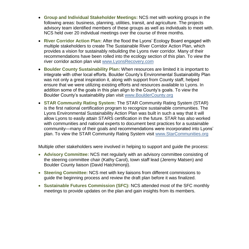- **Group and Individual Stakeholder Meetings:** NCS met with working groups in the following areas: business, planning, utilities, transit, and agriculture. The projects advisory team identified members of these groups as well as individuals to meet with. NCS held over 20 individual meetings over the course of three months.
- **River Corridor Action Plan:** After the flood the Lyons' Ecology Board engaged with multiple stakeholders to create The Sustainable River Corridor Action Plan, which provides a vision for sustainably rebuilding the Lyons river corridor. Many of their recommendations have been rolled into the ecology section of this plan. To view the river corridor action plan visit [www.LyonsRecovery.com](http://www.lyonsrecovery.com/)
- **Boulder County Sustainability Plan:** When resources are limited it is important to integrate with other local efforts. Boulder County's Environmental Sustainability Plan was not only a great inspiration it, along with support from County staff, helped ensure that we were utilizing existing efforts and resources available to Lyons. In addition some of the goals in this plan align to the County's goals. To view the Boulder County's sustainability plan visit [www.BoulderCounty.org](http://www.bouldercounty.org/)
- **STAR Community Rating System:** The STAR Community Rating System (STAR) is the first national certification program to recognize sustainable communities. The Lyons Environmental Sustainability Action Plan was built in such a way that it will allow Lyons to easily attain STARS certification in the future. STAR has also worked with communities and national experts to document best practices for a sustainable community—many of their goals and recommendations were incorporated into Lyons' plan. To view the STAR Community Rating System visit [www.StarCommunities.org](http://www.starcommunities.org/)

Multiple other stakeholders were involved in helping to support and guide the process:

- **Advisory Committee:** NCS met regularly with an advisory committee consisting of the steering committee chair (Kathy Carol), town staff lead (Jeremy Matsen) and Boulder County liaison (David Hatchimonji).
- **Steering Committee:** NCS met with key liaisons from different commissions to guide the beginning process and review the draft plan before it was finalized.
- **Sustainable Futures Commission (SFC):** NCS attended most of the SFC monthly meetings to provide updates on the plan and gain insights from its members.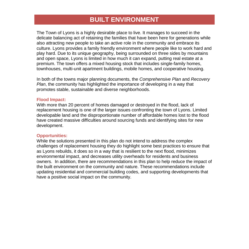### **BUILT ENVIRONMENT**

The Town of Lyons is a highly desirable place to live. It manages to succeed in the delicate balancing act of retaining the families that have been here for generations while also attracting new people to take an active role in the community and embrace its culture. Lyons provides a family friendly environment where people like to work hard and play hard. Due to its unique geography, being surrounded on three sides by mountains and open space, Lyons is limited in how much it can expand, putting real estate at a premium. The town offers a mixed housing stock that includes single-family homes, townhouses, multi-unit apartment buildings, mobile homes, and cooperative housing.

In both of the towns major planning documents, the *Comprehensive Plan* and *Recovery Plan*, the community has highlighted the importance of developing in a way that promotes stable, sustainable and diverse neighborhoods.

#### **Flood Impact:**

With more than 20 percent of homes damaged or destroyed in the flood, lack of replacement housing is one of the larger issues confronting the town of Lyons. Limited developable land and the disproportionate number of affordable homes lost to the flood have created massive difficulties around sourcing funds and identifying sites for new development.

#### **Opportunities:**

While the solutions presented in this plan do not intend to address the complex challenges of replacement housing they do highlight some best practices to ensure that as Lyons rebuilds, it does so in a way that is resilient to the next flood, minimizes environmental impact, and decreases utility overheads for residents and business owners. In addition, there are recommendations in this plan to help reduce the impact of the built environment on the community and nature. These recommendations include updating residential and commercial building codes, and supporting developments that have a positive social impact on the community.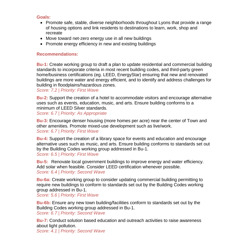- Promote safe, stable, diverse neighborhoods throughout Lyons that provide a range of housing options and link residents to destinations to learn, work, shop and recreate
- Move toward net-zero energy use in all new buildings
- Promote energy efficiency in new and existing buildings

### **Recommendations:**

**Bu-1:** Create working group to draft a plan to update residential and commercial building standards to incorporate criteria in most recent building codes, and third-party green home/business certifications (eg. LEED, EnergyStar) ensuring that new and renovated buildings are more water and energy efficient, and to identify and address challenges for building in floodplains/hazardous zones.

*Score: 7.2 | Priority: First Wave*

**Bu-2:** Support the creation of a hotel to accommodate visitors and encourage alternative uses such as events, education, music, and arts. Ensure building conforms to a minimum of LEED Silver standards.

*Score: 6.7 | Priority: As Appropriate*

**Bu-3:** Encourage denser housing (more homes per acre) near the center of Town and other amenities. Promote mixed-use development such as live/work. *Score: 6.7 | Priority: First Wave*

**Bu-4:** Support the creation of a library space for events and education and encourage alternative uses such as music, and arts. Ensure building conforms to standards set out by the Building Codes working group addressed in Bu-1. *Score: 6.5 | Priority: First Wave*

**Bu-5:** Renovate local government buildings to improve energy and water efficiency. Add solar when feasible. Consider LEED certification whenever possible. *Score: 6.4 | Priority: Second Wave*

**Bu-6a:** Create working group to consider updating commercial building permitting to require new buildings to conform to standards set out by the Building Codes working group addressed in Bu-1.

*Score: 5.6 | Priority: First Wave*

**Bu-6b:** Ensure any new town building/facilities conform to standards set out by the Building Codes working group addressed in Bu-1. *Score: 6.7 | Priority: Second Wave*

**Bu-7:** Conduct solution based education and outreach activities to raise awareness about light pollution.

*Score: 4.1 | Priority: Second Wave*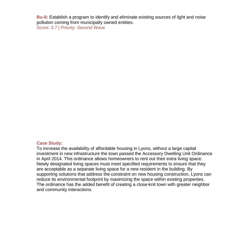**Bu-8:** Establish a program to identify and eliminate existing sources of light and noise pollution coming from municipally owned entities.

*Score: 3.7 | Priority: Second Wave*

### **Case Study:**

To increase the availability of affordable housing in Lyons, without a large capital investment in new infrastructure the town passed the Accessory Dwelling Unit Ordinance in April 2014. This ordinance allows homeowners to rent out their extra living space. Newly designated living spaces must meet specified requirements to ensure that they are acceptable as a separate living space for a new resident in the building. By supporting solutions that address the constraint on new housing construction, Lyons can reduce its environmental footprint by maximizing the space within existing properties. The ordinance has the added benefit of creating a close-knit town with greater neighbor and community interactions.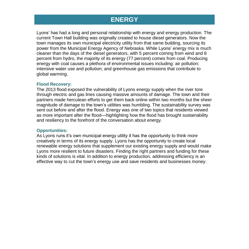### **ENERGY**

Lyons' has had a long and personal relationship with energy and energy production. The current Town Hall building was originally created to house diesel generators. Now the town manages its own municipal electricity utility from that same building, sourcing its power from the Municipal Energy Agency of Nebraska. While Lyons' energy mix is much cleaner than the days of the diesel generators, with 5 percent coming from wind and 8 percent from hydro, the majority of its energy (77 percent) comes from coal. Producing energy with coal causes a plethora of environmental issues including: air pollution; intensive water use and pollution; and greenhouse gas emissions that contribute to global warming.

#### **Flood Recovery:**

The 2013 flood exposed the vulnerability of Lyons energy supply when the river tore through electric and gas lines causing massive amounts of damage. The town and their partners made herculean efforts to get them back online within two months but the sheer magnitude of damage to the town's utilities was humbling. The sustainability survey was sent out before and after the flood. Energy was one of two topics that residents viewed as more important after the flood—highlighting how the flood has brought sustainability and resiliency to the forefront of the conversation about energy.

#### **Opportunities:**

As Lyons runs it's own municipal energy utility it has the opportunity to think more creatively in terms of its energy supply. Lyons has the opportunity to create local renewable energy solutions that supplement our existing energy supply and would make Lyons more resilient to future disasters. Finding the right partners and funding for these kinds of solutions is vital. In addition to energy production, addressing efficiency is an effective way to cut the town's energy use and save residents and businesses money.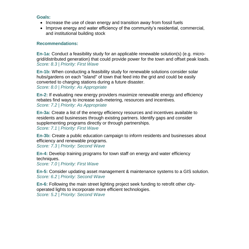- Increase the use of clean energy and transition away from fossil fuels
- Improve energy and water efficiency of the community's residential, commercial, and institutional building stock

### **Recommendations:**

**En-1a:** Conduct a feasibility study for an applicable renewable solution(s) (e.g. microgrid/distributed generation) that could provide power for the town and offset peak loads. *Score: 8.3 | Priority: First Wave*

**En-1b:** When conducting a feasibility study for renewable solutions consider solar hubs/gardens on each "island" of town that feed into the grid and could be easily converted to charging stations during a future disaster. *Score: 8.0 | Priority: As Appropriate*

**En-2:** If evaluating new energy providers maximize renewable energy and efficiency rebates find ways to increase sub-metering, resources and incentives. *Score: 7.2 | Priority: As Appropriate*

**En-3a:** Create a list of the energy efficiency resources and incentives available to residents and businesses through existing partners. Identify gaps and consider supplementing programs directly or through partnerships. *Score: 7.1 | Priority: First Wave*

**En-3b:** Create a public education campaign to inform residents and businesses about efficiency and renewable programs.

*Score: 7.3 | Priority: Second Wave*

**En-4:** Develop training programs for town staff on energy and water efficiency techniques.

*Score: 7.0 | Priority: First Wave*

**En-5:** Consider updating asset management & maintenance systems to a GIS solution. *Score: 6.2 | Priority: Second Wave*

**En-6:** Following the main street lighting project seek funding to retrofit other cityoperated lights to incorporate more efficient technologies. *Score: 5.2 | Priority: Second Wave*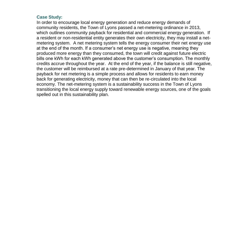### **Case Study:**

In order to encourage local energy generation and reduce energy demands of community residents, the Town of Lyons passed a net-metering ordinance in 2013, which outlines community payback for residential and commercial energy generation. If a resident or non-residential entity generates their own electricity, they may install a netmetering system. A net metering system tells the energy consumer their net energy use at the end of the month. If a consumer's net energy use is negative, meaning they produced more energy than they consumed, the town will credit against future electric bills one kWh for each kWh generated above the customer's consumption. The monthly credits accrue throughout the year. At the end of the year, if the balance is still negative, the customer will be reimbursed at a rate pre-determined in January of that year. The payback for net metering is a simple process and allows for residents to earn money back for generating electricity, money that can then be re-circulated into the local economy. The net-metering system is a sustainability success in the Town of Lyons transitioning the local energy supply toward renewable energy sources, one of the goals spelled out in this sustainability plan.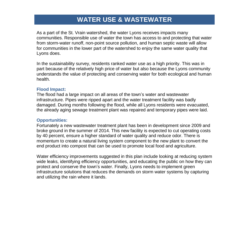### **WATER USE & WASTEWATER**

As a part of the St. Vrain watershed, the water Lyons receives impacts many communities. Responsible use of water the town has access to and protecting that water from storm-water runoff, non-point source pollution, and human septic waste will allow for communities in the lower part of the watershed to enjoy the same water quality that Lyons does.

In the sustainability survey, residents ranked water use as a high priority. This was in part because of the relatively high price of water but also because the Lyons community understands the value of protecting and conserving water for both ecological and human health.

### **Flood Impact:**

The flood had a large impact on all areas of the town's water and wastewater infrastructure. Pipes were ripped apart and the water treatment facility was badly damaged. During months following the flood, while all Lyons residents were evacuated, the already aging sewage treatment plant was repaired and temporary pipes were laid.

### **Opportunities:**

Fortunately a new wastewater treatment plant has been in development since 2009 and broke ground in the summer of 2014. This new facility is expected to cut operating costs by 40 percent, ensure a higher standard of water quality and reduce odor. There is momentum to create a natural living system component to the new plant to convert the end product into compost that can be used to promote local food and agriculture.

Water efficiency improvements suggested in this plan include looking at reducing system wide leaks, identifying efficiency opportunities, and educating the public on how they can protect and conserve the town's water. Finally, Lyons needs to implement green infrastructure solutions that reduces the demands on storm water systems by capturing and utilizing the rain where it lands.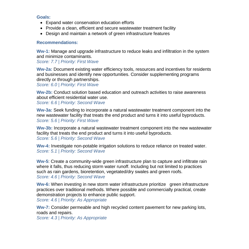- Expand water conservation education efforts
- Provide a clean, efficient and secure wastewater treatment facility
- Design and maintain a network of green infrastructure features

### **Recommendations:**

**Ww-1:** Manage and upgrade infrastructure to reduce leaks and infiltration in the system and minimize contaminants.

*Score: 7.7 | Priority: First Wave*

**Ww-2a:** Document existing water efficiency tools, resources and incentives for residents and businesses and identify new opportunities. Consider supplementing programs directly or through partnerships.

*Score: 6.0 | Priority: First Wave*

**Ww-2b:** Conduct solution based education and outreach activities to raise awareness about efficient residential water use.

*Score: 6.6 | Priority: Second Wave*

**Ww-3a:** Seek funding to incorporate a natural wastewater treatment component into the new wastewater facility that treats the end product and turns it into useful byproducts. *Score: 5.6 | Priority: First Wave*

**Ww-3b:** Incorporate a natural wastewater treatment component into the new wastewater facility that treats the end product and turns it into useful byproducts. *Score: 5.6 | Priority: Second Wave*

**Ww-4:** Investigate non-potable irrigation solutions to reduce reliance on treated water. *Score: 5.1 | Priority: Second Wave*

**Ww-5**: Create a community-wide green infrastructure plan to capture and infiltrate rain where it falls, thus reducing storm water runoff. Including but not limited to practices such as rain gardens, bioretention, vegetated/dry swales and green roofs. *Score: 4.6 | Priority: Second Wave*

**Ww-6:** When investing in new storm water infrastructure prioritize green infrastructure practices over traditional methods. Where possible and commercially practical, create demonstration projects to enhance public support.

*Score: 4.6 | Priority: As Appropriate*

**Ww-7:** Consider permeable and high recycled content pavement for new parking lots, roads and repairs.

*Score: 4.3 | Priority: As Appropriate*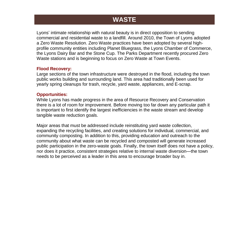### **WASTE**

Lyons' intimate relationship with natural beauty is in direct opposition to sending commercial and residential waste to a landfill. Around 2010, the Town of Lyons adopted a Zero Waste Resolution. Zero Waste practices have been adopted by several highprofile community entities including Planet Bluegrass, the Lyons Chamber of Commerce, the Lyons Dairy Bar and the Stone Cup. The Parks Department recently procured Zero Waste stations and is beginning to focus on Zero Waste at Town Events.

#### **Flood Recovery:**

Large sections of the town infrastructure were destroyed in the flood, including the town public works building and surrounding land. This area had traditionally been used for yearly spring cleanups for trash, recycle, yard waste, appliances, and E-scrap.

### **Opportunities:**

While Lyons has made progress in the area of Resource Recovery and Conservation there is a lot of room for improvement. Before moving too far down any particular path it is important to first identify the largest inefficiencies in the waste stream and develop tangible waste reduction goals.

Major areas that must be addressed include reinstituting yard waste collection, expanding the recycling facilities, and creating solutions for individual, commercial, and community composting. In addition to this, providing education and outreach to the community about what waste can be recycled and composted will generate increased public participation in the zero-waste goals. Finally, the town itself does not have a policy, nor does it practice, consistent strategies relative to internal waste diversion—the town needs to be perceived as a leader in this area to encourage broader buy in.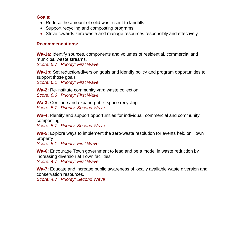- Reduce the amount of solid waste sent to landfills
- Support recycling and composting programs
- Strive towards zero waste and manage resources responsibly and effectively

### **Recommendations:**

**Wa-1a:** Identify sources, components and volumes of residential, commercial and municipal waste streams.

*Score: 5.7 | Priority: First Wave*

**Wa-1b:** Set reduction/diversion goals and identify policy and program opportunities to support those goals *Score: 6.1 | Priority: First Wave*

**Wa-2:** Re-institute community yard waste collection. *Score: 6.6 | Priority: First Wave*

**Wa-3:** Continue and expand public space recycling. *Score: 5.7 | Priority: Second Wave*

**Wa-4:** Identify and support opportunities for individual, commercial and community composting

*Score: 5.7 | Priority: Second Wave*

**Wa-5:** Explore ways to implement the zero-waste resolution for events held on Town property

*Score: 5.1 | Priority: First Wave*

**Wa-6:** Encourage Town government to lead and be a model in waste reduction by increasing diversion at Town facilities.

*Score: 4.7 | Priority: First Wave*

**Wa-7:** Educate and increase public awareness of locally available waste diversion and conservation resources.

*Score: 4.7 | Priority: Second Wave*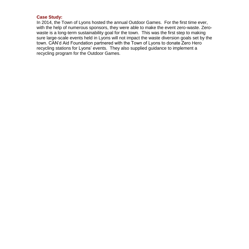### **Case Study:**

In 2014, the Town of Lyons hosted the annual Outdoor Games. For the first time ever, with the help of numerous sponsors, they were able to make the event zero-waste. Zerowaste is a long-term sustainability goal for the town. This was the first step to making sure large-scale events held in Lyons will not impact the waste diversion goals set by the town. CAN'd Aid Foundation partnered with the Town of Lyons to donate Zero Hero recycling stations for Lyons' events. They also supplied guidance to implement a recycling program for the Outdoor Games.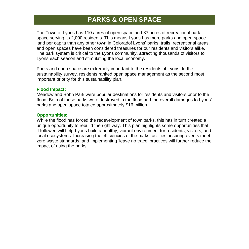### **PARKS & OPEN SPACE**

The Town of Lyons has 110 acres of open space and 87 acres of recreational park space serving its 2,000 residents. This means Lyons has more parks and open space land per capita than any other town in Colorado! Lyons' parks, trails, recreational areas, and open spaces have been considered treasures for our residents and visitors alike. The park system is critical to the Lyons community, attracting thousands of visitors to Lyons each season and stimulating the local economy.

Parks and open space are extremely important to the residents of Lyons. In the sustainability survey, residents ranked open space management as the second most important priority for this sustainability plan.

### **Flood Impact:**

Meadow and Bohn Park were popular destinations for residents and visitors prior to the flood. Both of these parks were destroyed in the flood and the overall damages to Lyons' parks and open space totaled approximately \$16 million.

### **Opportunities:**

While the flood has forced the redevelopment of town parks, this has in turn created a unique opportunity to rebuild the right way. This plan highlights some opportunities that, if followed will help Lyons build a healthy, vibrant environment for residents, visitors, and local ecosystems. Increasing the efficiencies of the parks facilities, insuring events meet zero waste standards, and implementing 'leave no trace' practices will further reduce the impact of using the parks.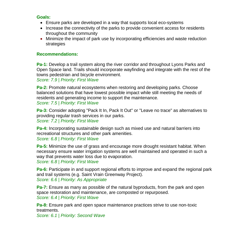- Ensure parks are developed in a way that supports local eco-systems
- Increase the connectivity of the parks to provide convenient access for residents throughout the community
- Minimize the impact of park use by incorporating efficiencies and waste reduction strategies

### **Recommendations:**

**Pa-1:** Develop a trail system along the river corridor and throughout Lyons Parks and Open Space land. Trails should incorporate wayfinding and integrate with the rest of the towns pedestrian and bicycle environment.

*Score: 7.9 | Priority: First Wave*

**Pa-2:** Promote natural ecosystems when restoring and developing parks. Choose balanced solutions that have lowest possible impact while still meeting the needs of residents and generating income to support the maintenance. *Score: 7.5 | Priority: First Wave*

**Pa-3:** Consider adopting "Pack It In, Pack It Out" or "Leave no trace" as alternatives to providing regular trash services in our parks. *Score: 7.2 | Priority: First Wave*

**Pa-4:** Incorporating sustainable design such as mixed use and natural barriers into recreational structures and other park amenities. *Score: 6.8 | Priority: First Wave*

**Pa-5:** Minimize the use of grass and encourage more drought resistant habitat. When necessary ensure water irrigation systems are well maintained and operated in such a way that prevents water loss due to evaporation.

*Score: 6.8 | Priority: First Wave*

**Pa-6:** Participate in and support regional efforts to improve and expand the regional park and trail systems (e.g. Saint Vrain Greenway Project). *Score: 6.6 | Priority: As Appropriate*

**Pa-7:** Ensure as many as possible of the natural byproducts, from the park and open space restoration and maintenance, are composted or repurposed. *Score: 6.4 | Priority: First Wave*

**Pa-8:** Ensure park and open space maintenance practices strive to use non-toxic treatments.

*Score: 6.1 | Priority: Second Wave*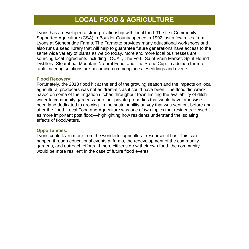### **LOCAL FOOD & AGRICULTURE**

Lyons has a developed a strong relationship with local food. The first Community Supported Agriculture (CSA) in Boulder County opened in 1992 just a few miles from Lyons at Stonebridge Farms. The Farmette provides many educational workshops and also runs a seed library that will help to guarantee future generations have access to the same wide variety of plants as we do today. More and more local businesses are sourcing local ingredients including LOCAL, The Fork, Saint Vrain Market, Spirit Hound Distillery, Steamboat Mountain Natural Food, and The Stone Cup. In addition farm-totable catering solutions are becoming commonplace at weddings and events.

### **Flood Recovery:**

Fortunately, the 2013 flood hit at the end of the growing season and the impacts on local agricultural producers was not as dramatic as it could have been. The flood did wreck havoc on some of the irrigation ditches throughout town limiting the availability of ditch water to community gardens and other private properties that would have otherwise been land dedicated to growing. In the sustainability survey that was sent out before and after the flood, Local Food and Agriculture was one of two topics that residents viewed as more important post flood—highlighting how residents understand the isolating effects of floodwaters.

### **Opportunities:**

Lyons could learn more from the wonderful agricultural resources it has. This can happen through educational events at farms, the redevelopment of the community gardens, and outreach efforts. If more citizens grow their own food, the community would be more resilient in the case of future flood events.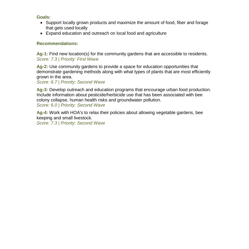- Support locally grown products and maximize the amount of food, fiber and forage that gets used locally
- Expand education and outreach on local food and agriculture

### **Recommendations:**

**Ag-1:** Find new location(s) for the community gardens that are accessible to residents. *Score: 7.3 | Priority: First Wave*

**Ag-2:** Use community gardens to provide a space for education opportunities that demonstrate gardening methods along with what types of plants that are most efficiently grown in the area.

*Score: 6.7 | Priority: Second Wave*

**Ag-3:** Develop outreach and education programs that encourage urban food production. Include information about pesticide/herbicide use that has been associated with bee colony collapse, human health risks and groundwater pollution. *Score: 6.0 | Priority: Second Wave*

**Ag-4:** Work with HOA's to relax their policies about allowing vegetable gardens, bee keeping and small livestock.

*Score: 7.3 | Priority: Second Wave*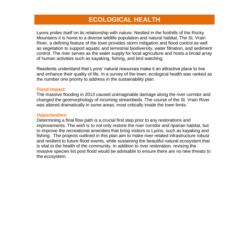### **ECOLOGICAL HEALTH**

Lyons prides itself on its relationship with nature. Nestled in the foothills of the Rocky Mountains it is home to a diverse wildlife population and natural habitat. The St. Vrain River, a defining feature of the town provides storm mitigation and flood control as well as vegetation to support aquatic and terrestrial biodiversity, water filtration, and sediment control. The river serves as the water supply for local agriculture and hosts a broad array of human activities such as kayaking, fishing, and bird watching.

Residents understand that Lyons' natural resources make it an attractive place to live and enhance their quality of life. In a survey of the town, ecological health was ranked as the number one priority to address in the sustainability plan.

### **Flood Impact:**

The massive flooding in 2013 caused unimaginable damage along the river corridor and changed the geomorphology of incoming streambeds. The course of the St. Vrain River was altered dramatically in some areas, most critically inside the town limits.

### **Opportunities:**

Determining a final flow path is a crucial first step prior to any restorations and improvements. The wish is to not only restore the river corridor and riparian habitat, but to improve the recreational amenities that bring visitors to Lyons, such as kayaking and fishing. The projects outlined in this plan aim to make river-related infrastructure robust and resilient to future flood events, while sustaining the beautiful natural ecosystem that is vital to the health of the community. In addition to river restoration, revising the invasive species list post flood would be advisable to ensure there are no new threats to the ecosystem.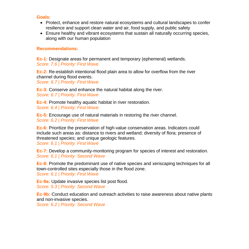- Protect, enhance and restore natural ecosystems and cultural landscapes to confer resilience and support clean water and air, food supply, and public safety
- Ensure healthy and vibrant ecosystems that sustain all naturally occurring species, along with our human population

### **Recommendations:**

**Ec-1:** Designate areas for permanent and temporary (ephemeral) wetlands. *Score: 7.6 | Priority: First Wave*

**Ec-2:** Re-establish intentional flood plain area to allow for overflow from the river channel during flood events.

*Score: 6.7 | Priority: First Wave*

**Ec-3:** Conserve and enhance the natural habitat along the river. *Score: 6.7 | Priority: First Wave*

**Ec-4:** Promote healthy aquatic habitat in river restoration. *Score: 6.4 | Priority: First Wave*

**Ec-5:** Encourage use of natural materials in restoring the river channel. *Score: 6.2 | Priority: First Wave*

**Ec-6:** Prioritize the preservation of high-value conservation areas. Indicators could include such areas as: distance to rivers and wetland; diversity of flora; presence of threatened species; and unique geologic features.

*Score: 6.1 | Priority: First Wave*

**Ec-7:** Develop a community-monitoring program for species of interest and restoration. *Score: 6.1 | Priority: Second Wave*

**Ec-8:** Promote the predominant use of native species and xeriscaping techniques for all town-controlled sites especially those in the flood zone. *Score: 6.1 | Priority: First Wave*

**Ec-9a:** Update invasive species list post flood. *Score: 5.3 | Priority: Second Wave*

**Ec-9b:** Conduct education and outreach activities to raise awareness about native plants and non-invasive species.

*Score: 6.2 | Priority: Second Wave*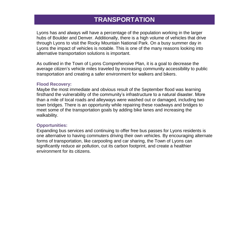### **TRANSPORTATION**

Lyons has and always will have a percentage of the population working in the larger hubs of Boulder and Denver. Additionally, there is a high volume of vehicles that drive through Lyons to visit the Rocky Mountain National Park. On a busy summer day in Lyons the impact of vehicles is notable. This is one of the many reasons looking into alternative transportation solutions is important.

As outlined in the Town of Lyons Comprehensive Plan, it is a goal to decrease the average citizen's vehicle miles traveled by increasing community accessibility to public transportation and creating a safer environment for walkers and bikers.

#### **Flood Recovery:**

Maybe the most immediate and obvious result of the September flood was learning firsthand the vulnerability of the community's infrastructure to a natural disaster. More than a mile of local roads and alleyways were washed out or damaged, including two town bridges. There is an opportunity while repairing these roadways and bridges to meet some of the transportation goals by adding bike lanes and increasing the walkability.

#### **Opportunities:**

Expanding bus services and continuing to offer free bus passes for Lyons residents is one alternative to having commuters driving their own vehicles. By encouraging alternate forms of transportation, like carpooling and car sharing, the Town of Lyons can significantly reduce air pollution, cut its carbon footprint, and create a healthier environment for its citizens.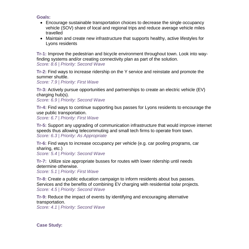- Encourage sustainable transportation choices to decrease the single occupancy vehicle (SOV) share of local and regional trips and reduce average vehicle miles travelled
- Maintain and create new infrastructure that supports healthy, active lifestyles for Lyons residents

**Tr-1:** Improve the pedestrian and bicycle environment throughout town. Look into wayfinding systems and/or creating connectivity plan as part of the solution. *Score: 8.6 | Priority: Second Wave*

**Tr-2:** Find ways to increase ridership on the Y service and reinstate and promote the summer shuttle.

*Score: 7.9 | Priority: First Wave*

**Tr-3:** Actively pursue opportunities and partnerships to create an electric vehicle (EV) charging hub(s).

*Score: 6.9 | Priority: Second Wave*

**Tr-4:** Find ways to continue supporting bus passes for Lyons residents to encourage the use public transportation.

*Score: 6.7 | Priority: First Wave*

**Tr-5:** Support any upgrading of communication infrastructure that would improve internet speeds thus allowing telecommuting and small tech firms to operate from town. *Score: 6.3 | Priority: As Appropriate* 

**Tr-6:** Find ways to increase occupancy per vehicle (e.g. car pooling programs, car sharing, etc.)

*Score: 5.4 | Priority: Second Wave*

**Tr-7:** Utilize size appropriate busses for routes with lower ridership until needs determine otherwise.

*Score: 5.1 | Priority: First Wave*

**Tr-8:** Create a public education campaign to inform residents about bus passes. Services and the benefits of combining EV charging with residential solar projects. *Score: 4.5 | Priority: Second Wave*

**Tr-9:** Reduce the impact of events by identifying and encouraging alternative transportation.

*Score: 4.1 | Priority: Second Wave*

**Case Study:**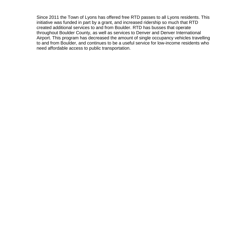Since 2011 the Town of Lyons has offered free RTD passes to all Lyons residents. This initiative was funded in part by a grant, and increased ridership so much that RTD created additional services to and from Boulder. RTD has busses that operate throughout Boulder County, as well as services to Denver and Denver International Airport. This program has decreased the amount of single occupancy vehicles travelling to and from Boulder, and continues to be a useful service for low-income residents who need affordable access to public transportation.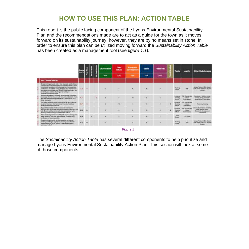### **HOW TO USE THIS PLAN: ACTION TABLE**

This report is the public facing component of the Lyons Environmental Sustainability Plan and the recommendations made are to act as a guide for the town as it moves forward on its sustainability journey, however, they are by no means set in stone. In order to ensure this plan can be utilized moving forward the *Sustainability Action Table* has been created as a management tool (see *figure 1.1*).

|                                                                                                                                                                                                                                                                                                                                                                                                                | Score<br>Dall of 19 |              |          |  | Environment | <b>Town</b><br><b>Values</b> | <b>Economia</b><br><b>Development</b><br>198% | Social<br>地版 | <b>Fassibility</b><br>20% |   | Tactic                                                      | Lead(s)                                            | Other Stakeholders                                                                   |
|----------------------------------------------------------------------------------------------------------------------------------------------------------------------------------------------------------------------------------------------------------------------------------------------------------------------------------------------------------------------------------------------------------------|---------------------|--------------|----------|--|-------------|------------------------------|-----------------------------------------------|--------------|---------------------------|---|-------------------------------------------------------------|----------------------------------------------------|--------------------------------------------------------------------------------------|
|                                                                                                                                                                                                                                                                                                                                                                                                                |                     |              |          |  | 50%         | 20%                          |                                               |              |                           |   |                                                             |                                                    |                                                                                      |
| <b>BUILT ENVIRONMENT</b>                                                                                                                                                                                                                                                                                                                                                                                       |                     |              |          |  |             |                              |                                               |              |                           |   |                                                             |                                                    |                                                                                      |
| Create working group to straft a plan to spitate residential and:<br>continuedal building standards to incarporate cheeria in most<br>recent building codes, and throughly prest from business.<br>swithsdore por LSBO, Binery/Blac) emusing that new and<br>leterated buildings are incre water and unorgy efficient, and<br>to identify and address challenges for subdivising<br>Roodvisina/hapardous zones | 72                  | $\mathbf{H}$ |          |  | <b>H</b>    |                              |                                               |              |                           |   | <b><i><u>INJAPE</u></i></b><br>Griss                        | THD.                                               | <b>JAGUAR VERSON / BOB JONEST</b><br><b>Sub-Suite / SOURCE 1 Bounter</b><br>County   |
| Scolars the privator of a hotel to accommodate yestern and<br>with rige abstrated uses sult as everis, educator, thati-<br>and one. Evening suitable conferred to a communication (2012).<br>Silver strandards                                                                                                                                                                                                 | <b>ET</b>           |              |          |  |             |                              | w                                             | ×            |                           |   | <b>Influence</b><br>Existing<br><b>Efforts</b>              | TIC :Tuniarvalile<br><b>Putures</b><br>Communicati | Davatoper / Building rockey<br>recitario group il Economic<br>Development Commession |
| Encourage denser fousing rinum homes can son) real the<br>carrier of fours and other presiding. Promete mead-pair<br>department such as foreigned.                                                                                                                                                                                                                                                             | <b>KY</b>           | $\pi$        |          |  |             | $\equiv$                     |                                               | ÷            |                           | ۰ | <b><i>Unformation</i></b><br><b>Gastro</b><br><b>Elista</b> | TDO (Surgervalle)<br>Futures<br>Diversioning       | <b>Flechwells Totalistics</b>                                                        |
| Eugent its creator of a livery loans to wants and<br>education and entropyion alternative years such as music, and<br>why. Ensure sulcting poottoms to standards set out by the<br>Butting Codes working group addressed in Bu-1.                                                                                                                                                                              | 68                  | Ð            |          |  |             |                              |                                               | $\mathbf{r}$ | ×                         | ۰ | <b>STANDARD</b><br><b>MARRING</b><br><b>Effects</b>         | <b>RO SHAWING</b><br><b>Pulseter</b><br>Commons    | <b>Brany Correnances</b> / Business<br>codes working group !!<br><b>Consumer</b>     |
| Manavide band prosenteed liabilities to residue energy and<br>were affirming day axio when braship. Develop UFFII-<br>ractification wharaver coasinte.                                                                                                                                                                                                                                                         | 8.4                 |              | $\alpha$ |  |             |                              |                                               |              | ×                         |   | Town<br>Droad                                               | TRO-DIART                                          |                                                                                      |
| Driante working group to consider updating commercial<br>Justining permitting to require new business to soldiers to:<br>Mandards and Jul by the Bulking Cocke werking group.<br>andreward in Re. 7.                                                                                                                                                                                                           | 5.6                 | $\mathbf{u}$ |          |  | 18          |                              |                                               |              |                           |   | <b>Mazdary</b><br><b>Close as</b>                           | TBD                                                | Jacques Wilders / Bob Steve<br><b>Sale Braid / GAVEEP I Boulder</b><br><b>County</b> |

Figure 1

The *Sustainability Action Table* has several different components to help prioritize and manage Lyons Environmental Sustainability Action Plan. This section will look at some of those components.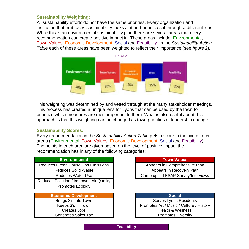### **Sustainability Weighting:**

All sustainability efforts do not have the same priorities. Every organization and institution that embraces sustainability looks at it and prioritizes it through a different lens. While this is an environmental sustainability plan there are several areas that every recommendation can create positive impact in. These areas include: Environmental, Town Values, Economic Development, Social and Feasibility. In the *Sustainability Action Table* each of these areas have been weighted to reflect their importance (see *figure 2*).



This weighting was determined by and vetted through at the many stakeholder meetings. This process has created a unique lens for Lyons that can be used by the town to prioritize which measures are most important to them. What is also useful about this approach is that this weighting can be changed as town priorities or leadership change.

### **Sustainability Scores:**

Every recommendation in the *Sustainability Action Table* gets a score in the five different areas (Environmental, Town Values, Economic Development, Social and Feasibility). The points in each area are given based on the level of positive impact the recommendation has in any of the following categories:

| <b>Environmental</b>                     | <b>Town Values</b>     |
|------------------------------------------|------------------------|
| Reduces Green House Gas Emissions        | Appears in Comprehen   |
| <b>Reduces Solid Waste</b>               | Appears in Recover     |
| <b>Reduces Water Use</b>                 | Came up in LESAP Surve |
| Reduces Pollution / Improves Air Quality |                        |
| <b>Promotes Ecology</b>                  |                        |
|                                          |                        |

| <b>Economic Development</b> | <b>Social</b>                 |
|-----------------------------|-------------------------------|
| Brings \$'s Into Town       | Serves Lyons Resider          |
| Keeps \$'s In Town          | Promotes Art / Music / Cultur |
| Creates Jobs                | Health & Wellness             |
| <b>Generates Sales Tax</b>  | <b>Promotes Diversity</b>     |

|  | <b>Town Values</b> |  |
|--|--------------------|--|
|  |                    |  |

Appears in Comprehensive Plan Appears in Recovery Plan

Came up in LESAP Survey/Interviews

| onomic Development    | <b>Social</b>                            |
|-----------------------|------------------------------------------|
| Brings \$'s Into Town | Serves Lyons Residents                   |
| Keeps \$'s In Town    | Promotes Art / Music / Culture / History |
| Creates Jobs          | Health & Wellness                        |
| Generates Sales Tax   | <b>Promotes Diversity</b>                |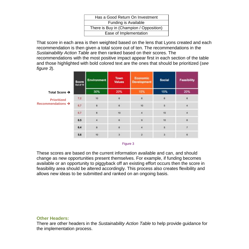| Has a Good Return On Investment         |
|-----------------------------------------|
| Funding is Available                    |
| There is Buy in (Champion / Opposition) |
| Ease of Implementation                  |
|                                         |

That score in each area is then weighted based on the lens that Lyons created and each recommendation is then given a total score out of ten. The recommendations in the *Sustainability Action Table* are then ranked based on their scores. The recommendations with the most positive impact appear first in each section of the table and those highlighted with bold colored text are the ones that should be prioritized (*see figure 3*).

|                               | Score<br>Out of 10 | <b>Environment</b> | Town<br><b>Values</b> | Economic<br><b>Development</b> | <b>Social</b>           | Feasibility                |  |
|-------------------------------|--------------------|--------------------|-----------------------|--------------------------------|-------------------------|----------------------------|--|
| Total Score $\rightarrow$     |                    | 30%                | 20%                   | 15%                            | 15%                     | 20%                        |  |
| <b>Prioritized</b>            | $7.2^{\circ}$      | $10$               | B                     | $\mathbf{6}$                   | 6                       | $\ddot{\bf 6}$             |  |
| Recommendations $\rightarrow$ | 6,7                | 8                  | 6                     | 10                             | 5                       | đ,                         |  |
|                               | $6.7\,$            | 6                  | $10^{\circ}$          | $\overline{\mathbf{4}}$        | 10                      | 4                          |  |
|                               | $\bf 6.5$          | $\overline{a}$     | $\mathbf{s}$          | ø                              | 10                      | 6                          |  |
|                               | 6.4                | 8                  | $\bar{\mathbf{6}}$    | $\ddot{\phantom{1}}$           | $\overline{\mathbf{b}}$ | 7                          |  |
|                               | 5.6                | 10                 | 3                     | $\overline{\mathbf{z}}$        | 3                       | $\sim$<br>$\tilde{\sigma}$ |  |

Figure 3

These scores are based on the current information available and can, and should change as new opportunities present themselves. For example, if funding becomes available or an opportunity to piggyback off an existing effort occurs then the score in feasibility area should be altered accordingly. This process also creates flexibility and allows new ideas to be submitted and ranked on an ongoing basis.

### **Other Headers:**

There are other headers in the *Sustainability Action Table* to help provide guidance for the implementation process.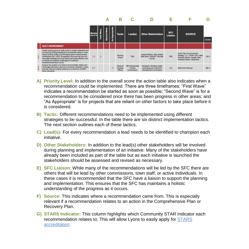

- **A) Priority Level:** In addition to the overall score the action table also indicates when a recommendation could be implemented. There are three timeframes: "First Wave" indicates a recommendation be started as soon as possible; "Second Wave" is for a recommendation to be considered once there has been progress in other areas; and "As Appropriate" is for projects that are reliant on other factors to take place before it is considered.
- **B) Tactic:** Different recommendations need to be implemented using different strategies to be successful. In the table there are six distinct implementation tactics. The next section outlines each of these tactics.
- **C) Lead(s):** For every recommendation a lead needs to be identified to champion each initiative.
- **D) Other Stakeholders:** In addition to the lead(s) other stakeholders will be involved during planning and implementation of an initiative. Many of the stakeholders have already been included as part of the table but as each initiative is launched the stakeholders should be assessed and revised as necessary.
- **E) SFC Liaison:** While many of the recommendations will be led by the SFC there are others that will be lead by other commissions, town staff, or active individuals. In these cases it is recommended that the SFC have a liaison to support the planning and implementation. This ensures that the SFC has maintains a holistic understanding of the progress as it occurs.
- **F) Source:** This indicates where a recommendation came from. This is especially relevant if a recommendation relates to an action in the Comprehensive Plan or Recovery Plan.
- **G) STARS Indicator:** This column highlights which Community STAR Indicator each recommendation relates to. This will allow Lyons to easily apply for STARS accreditation.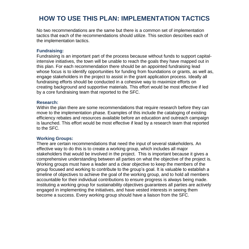### **HOW TO USE THIS PLAN: IMPLEMENTATION TACTICS**

No two recommendations are the same but there is a common set of implementation tactics that each of the recommendations should utilize. This section describes each of the implementation tactics.

### **Fundraising:**

Fundraising is an important part of the process because without funds to support capitalintensive initiatives, the town will be unable to reach the goals they have mapped out in this plan. For each recommendation there should be an appointed fundraising lead whose focus is to identify opportunities for funding from foundations or grants, as well as, engage stakeholders in the project to assist in the grant application process. Ideally all fundraising efforts should be conducted in a cohesive way to maximize efforts on creating background and supportive materials. This effort would be most effective if led by a core fundraising team that reported to the SFC.

### **Research:**

Within the plan there are some recommendations that require research before they can move to the implementation phase. Examples of this include the cataloging of existing efficiency rebates and resources available before an education and outreach campaign is launched. This effort would be most effective if lead by a research team that reported to the SFC.

### **Working Groups:**

There are certain recommendations that need the input of several stakeholders. An effective way to do this is to create a working group, which includes all major stakeholders that would be involved in the project. This is important because it gives a comprehensive understanding between all parties on what the objective of the project is. Working groups must have a leader and a clear objective to keep the members of the group focused and working to contribute to the group's goal. It is valuable to establish a timeline of objectives to achieve the goal of the working group, and to hold all members accountable for their individual contributions to ensure progress is always being made. Instituting a working group for sustainability objectives guarantees all parties are actively engaged in implementing the initiatives, and have vested interests in seeing them become a success. Every working group should have a liaison from the SFC.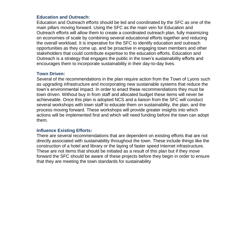### **Education and Outreach:**

Education and Outreach efforts should be led and coordinated by the SFC as one of the main pillars moving forward. Using the SFC as the main vein for Education and Outreach efforts will allow them to create a coordinated outreach plan, fully maximizing on economies of scale by combining several educational efforts together and reducing the overall workload. It is imperative for the SFC to identify education and outreach opportunities as they come up, and be proactive in engaging town members and other stakeholders that could contribute expertise to the education efforts. Education and Outreach is a strategy that engages the public in the town's sustainability efforts and encourages them to incorporate sustainability in their day-to-day lives.

### **Town Driven:**

Several of the recommendations in the plan require action from the Town of Lyons such as upgrading infrastructure and incorporating new sustainable systems that reduce the town's environmental impact. In order to enact these recommendations they must be town driven. Without buy in from staff and allocated budget these items will never be achieveable. Once this plan is adopted NCS and a liaison from the SFC will conduct several workshops with town staff to educate them on sustainability, the plan, and the process moving forward. These workshops will provide greater insights into which actions will be implemented first and which will need funding before the town can adopt them.

### **Influence Existing Efforts:**

There are several recommendations that are dependent on existing efforts that are not directly associated with sustainability throughout the town. These include things like the construction of a hotel and library or the laying of faster speed Internet infrastructure. These are not items that should be initiated as a result of this plan but if they move forward the SFC should be aware of these projects before they begin in order to ensure that they are meeting the town standards for sustainability